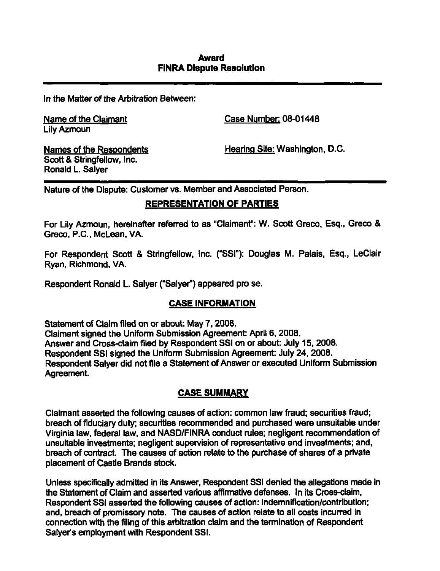\n the l\4atter of the Arbitration Between:

Lily Azmoun

Name of the Claimant Case Number: 08-01448

Scott & Stringfellow. Inc. Ronald L. Salyer

Names of the Respondents **Hearing Site: Washington, D.C.** 

Nature of the Dispute: Customer vs. Member and Associated Person.

## REPRESENTATION OF PARTIES

For Lily Azmoun, hereinafter referred to as "Claimant": W. Scott Greco, Esq., Greco & Greco, P.C, McLean, VA.

For Respondent Scott & Stringfellow, inc. ("SSI"): Douglas M. Palais, Esq., LeClair Ryan, Richmond, VA.

Respondent Ronald L. Salyer ("Salyer") appeared pro se.

## CASE INFORMATION

Statement of Claim filed on or about: May 7, 2008. Claimant signed the Unifomi Submission Agreement: April 6, 2008. Answer and Cross-claim filed by Respondent SSI on or about: July 15, 2008. Respondent SSI signed the Uniform Submission Agreement: July 24, 2008. Respondent Salyer did not file a Statement of Answer or executed Uniform Submission Agreement.

# CASE SUMMARY

Claimant asserted the following causes of action: common law fraud; securities fraud; breach of fiduciary duty; securities recommended and purchased were unsuitable under Virginia law, federal law, and NASD/FINRA conduct rules; negligent recommendation of unsuitable investments; negligent supervision of representative and investments; and, breach of contract. The causes of action relate to the purchase of shares of a private placement of Castle Brands stock.

Unless specifically admitted in its Answer, Respondent SSI denied the allegations made in the Statement of Claim and asserted various affirmative defenses. In its Cross-claim, Respondent SSI asserted the following causes of action: indemnification/contribution; and, breach of promissory note. The causes of action relate to ail costs incurred in connection with the filing of this arbitration claim and the termination of Respondent Salyer's employment with Respondent SSI.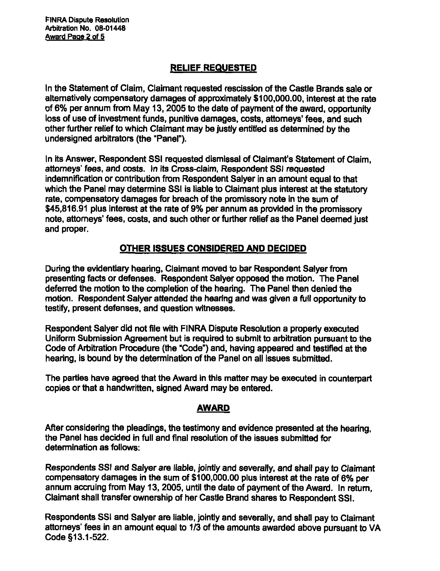^INRA Dispute Resolution Arbitration No. 08-01448 Award Page 2 of 5

## RELIEF REQUESTED

In the Statement of Claim, Claimant requested rescission of the Castle Brands sale or altematively compensatory damages of approximately \$100,000.00, interest at the rate of 6% per annum from May 13,2005 to the date of payment of the award, opportunity loss of use of investment funds, punitive damages, costs, attomeys' fees, and such other further relief to which Claimant may be justly entitled as determined by the undersigned arbitrators (the "Panel").

In its Answer, Respondent SSI requested dismissal of Claimant's Statement of Claim, attorneys' fees, and costs, in its Cross-claim, Respondent SSI requested indemnification or contribution from Respondent Salyer in an amount equal to that which the Panel may determine SSI is liable to Claimant plus interest at the statutory rate, compensatory damages for breach of the promissory note in the sum of \$45,816.91 plus interest at the rate of 9% per annum as provided in the promissory note, attorneys' fees, costs, and such other or further relief as the Panel deemed just and proper.

## OTHER ISSUES CONSIDERED AND DECIDED

During the evidentiary hearing. Claimant moved to bar Respondent Salyer from presenting facts or defenses. Respondent Salyer opposed the motion. The Panel deferred the motion to the completion of the hearing. The Panel then denied the motion. Respondent Salyer attended the hearing and was given a full opportunity to testify, present defenses, and question witnesses.

Respondent Salyer did not file with FINRA Dispute Resolution a properiy executed Uniform Submission Agreement but is required to submit to arbitration pursuant to the Code of Arbitration Procedure (the "Code") and, having appeared and testified at the hearing, is bound by the determination of the Panel on all issues submitted.

The parties have agreed that the Award in this matter may be executed in counterpart copies or that a handwritten, signed Award may be entered.

### AWARD

After considering the pleadings, the testimony and evidence presented at the hearing, the Panel has decided in full and final resolution of the issues submitted for determination as follows:

Respondents SSI and Saiyer are liable, jointly and severally, and shall pay to Claimant compensatory damages in the sum of \$100,000.00 plus interest at the rate of 6% per annum accruing from May 13, 2005, until the date of payment of the Award, in return. Claimant shall transfer ownership of her Castle Brand shares to Respondent SSI.

Respondents SSI and Salyer are liable, jointly and severally, and shall pay to Claimant attorneys' fees in an amount equal to 1/3 of the amounts awarded above pursuant to VA Code §13.1-522.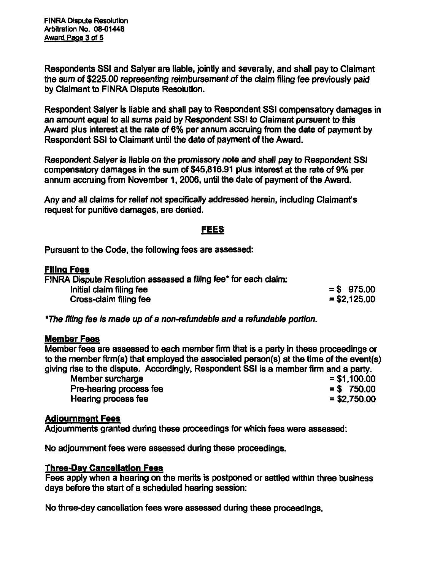FINRA Dispute Resolution Arbitration No. 08-01448 Award Page 3 of 5

Respondents SSI and Saiyer are liable, jointiy and severally, and shall pay to Claimant the sum of \$225.00 representing reimbursement of the claim fiiing fee previously paid by Claimant to FINRA Dispute Resolution.

Respondent Salyer Is liable and shall pay to Respondent SSI compensatory damages in an amount equal to all sums paid by Respondent SSI to Claimant pursuant to this Award plus interest at the rate of 6% per annum accruing from the date of payment by Respondent SSI to Claimant until the date of payment of the Award.

Respondent Salyer is liable on the promissory note and shall pay to Respondent SSI compensatory damages in the sum of \$45,816.91 plus interest at the rate of 9% per annum accruing from November 1,2006, until the date of payment of the Award.

Any and all claims for relief not specificaiiy addressed herein, including Claimant's request for punitive damages, are denied.

#### FEES

Pursuant to the Code, the following fees are assessed:

#### Filing Fees

FINRA Dispute Resoiution assessed a fiiing fee\* for each claim:  $\frac{1}{2}$  initial claim filing fee  $\frac{1}{2}$  = \$ 975.00 = \$ 975.00 Cross-claim filing fee

\*The filing fee is made up of a non-refundable and a refundable portion.

#### Member Fees

Member fees are assessed to each member firm that is a party in these proceedings or to the member firm(s) that employed the associated person(s) at the time of the event(s) giving rise to the dispute. Accordingly, Respondent SSI is a member firm and a party.

Member surcharge Pre-hearing process fee  $= $ 750.00$  $\mu$  Hearing process fee  $\mu$  is a set of the set of the set of the set of the set of the set of the set of the set of the set of the set of the set of the set of the set of the set of the set of the set of the set of the

### Adiournment Fees

Adjoumments granted during these proceedings for which fees were assessed:

No adjournment fees were assessed during these proceedings.

#### **Three-Day Cancellation Fees**

Fees apply when a hearing on the merits is postponed or settled within three business days before the start of a scheduled hearing session:

No three-day cancellation fees were assessed during these proceedings.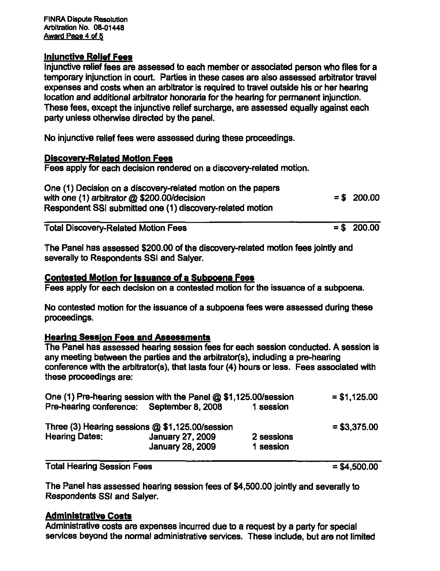### Iniunctive Relief Fees

Injunctive relief fees are assessed to each member or associated person who files for a temporary injunction in court. Parties in these cases are also assessed arbitrator travel expenses and costs when an arbitrator is required to travel outside his or her hearing location and additional arbitrator honoraria for the hearing for permanent injunction. These fees, except the injunctive relief surcharge, are assessed equally against each party unless othenvise directed by the panel.

No injunctive relief fees were assessed during these proceedings.

### Discoverv-Related Motion Fees

Fees apply for each decision rendered on a discovery-related motion.

One (1) Decision on a discovery-related motion on the papers with one (1) arbitrator  $\omega$  \$200.00/decision  $=$  \$ 200.00 Respondent SSI submitted one (1) discovery-related motion

Total Discovery-Related Motion Fees  $=$   $\frac{1}{2}$   $\frac{1}{2}$   $\frac{200.00}{2}$ 

The Panel has assessed \$200.00 of the discovery-related motion fees jointly and severally to Respondents SSI and Salyer.

### Contested Motion for issuance of a Subpoena Fees

Fees apply for each decision on a contested motion for the issuance of a subpoena.

No contested motion for the issuance of a subpoena fees were assessed during these proceedings.

## Hearing Session Fees and Assessments

The Panel has assessed hearing session fees for each session conducted. A session is any meeting between the parties and the arbitrator(s), including a pre-hearing conference with the arbitrator(s), that lasts four (4) hours or less. Fees associated with these proceedings are:

| One (1) Pre-hearing session with the Panel @ \$1,125.00/session |                         |            | $= $1,125.00$  |
|-----------------------------------------------------------------|-------------------------|------------|----------------|
| Pre-hearing conference: September 8, 2008                       |                         | 1 session  |                |
| Three (3) Hearing sessions @ \$1,125.00/session                 |                         |            | $=$ \$3,375.00 |
| <b>Hearing Dates:</b>                                           | January 27, 2009        | 2 sessions |                |
|                                                                 | <b>January 28, 2009</b> | 1 session  |                |
|                                                                 |                         |            |                |

Total Hearing Session Fees = \$4,500.00

The Panel has assessed hearing session fees of \$4,500.00 jointly and severally to Respondents SSI and Salyer.

## Administrative Costs

Administrative costs are expenses incurred due to a request by a party for special services beyond the normal administrative services. These include, but are not limited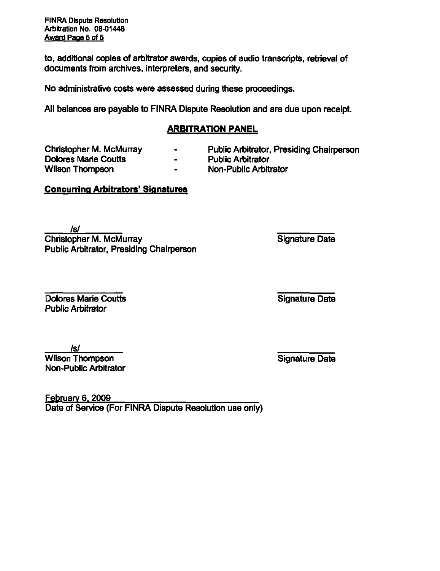FINRA Dispute Resolution Arbitration No. 08-01448 Award Page 5 of 5

to. additional copies of arbitrator awards, copies of audio transcripts, retrieval of documents from archives, interpreters, and security.

No administrative costs were assessed during these proceedings.

Ail balances are payable to FINRA Dispute Resolution and are due upon receipt.

### ARBITRATION PANEL

Dolores Marie Coutts Wilson Thompson **-** Non-Public Arbitrator

- Christopher M. McMurray  **Public Arbitrator, Presiding Chairperson**<br>
Dolores Marie Coutts **-** Public Arbitrator
	-
- Concurring Arbitrators' Signatures

Isl **Christopher M. McMurray Signature Date** Public Arbitrator, Presiding Chairperson

**Dolores Marie Coutts County County County County County County County County County County County County County County County County County County County County County County County County County County County County Coun** Public Arbitrator

Isl Wilson Thompson **Signature Date** Non-Public Arbitrator

**February 6, 2009** Date of Service (For FINRA Dispute Resolution use only)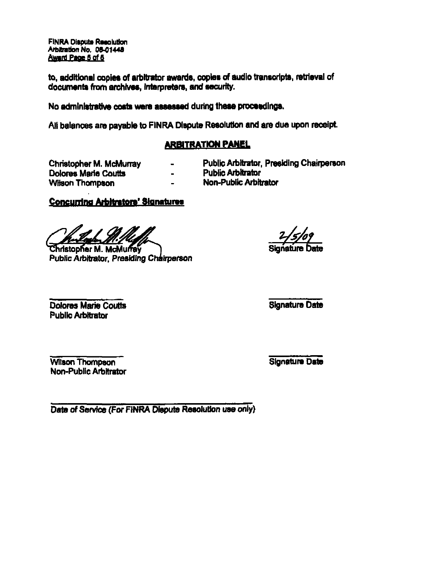**FINRA Dispute Resolution** Arbitration No. 08-01448 Award Page 5 of 5

to, additional copies of arbitrator awards, copies of audio transcripts, retrieval of documents from archives, Interpreters, and security.

No administrative costs were assessed during these proceedings.

All balances are payable to FiNRA Dispute Resolution and are due upon receipt.

# ARBiTRATIQM PANEL

Christopher M. McMunay - Public Arbitrator, Presiding Chairperson **Dolores Marie Coutts The County of Line and Public Arbitrator Wilson Thompson County County Arbitrator** Wilson Thompson

- 
- 
- -

## Concurring Arbitrators' Signatures

**Christopher M. McMurrey** 

Public Arbitrator, Presiding Chairperson

**Dolores Marie Coutts County County County County County County County County County County County County County County County County County County County County County County County County County County County County Coun** Public Arbitrator

Wilson Thompson Signature Date Non-Public Arbttrator

Date of Service (For FINRA Dispute Resolution use only)